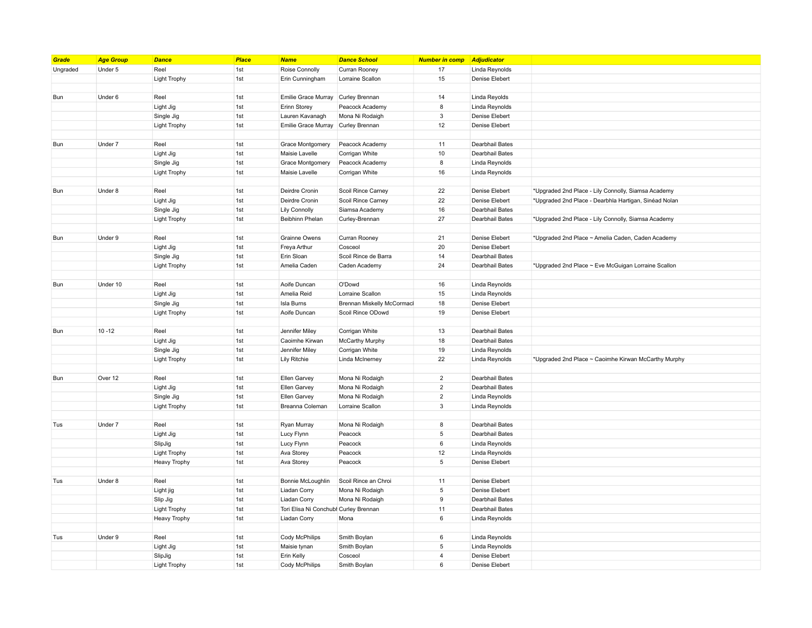| Grade    | <b>Age Group</b> | <b>Dance</b>        | <b>Place</b> | <b>Name</b>                           | <b>Dance School</b>        | <b>Number in comp</b> | Adjudicator     |                                                       |
|----------|------------------|---------------------|--------------|---------------------------------------|----------------------------|-----------------------|-----------------|-------------------------------------------------------|
| Ungraded | Under 5          | Reel                | 1st          | Roise Connolly                        | Curran Rooney              | 17                    | Linda Reynolds  |                                                       |
|          |                  | <b>Light Trophy</b> | 1st          | Erin Cunningham                       | Lorraine Scallon           | 15                    | Denise Elebert  |                                                       |
|          |                  |                     |              |                                       |                            |                       |                 |                                                       |
| Bun      | Under 6          | Reel                | 1st          | Emilie Grace Murray                   | Curley Brennan             | 14                    | Linda Reyolds   |                                                       |
|          |                  | Light Jig           | 1st          | Erinn Storey                          | Peacock Academy            | 8                     | Linda Reynolds  |                                                       |
|          |                  | Single Jig          | 1st          | Lauren Kavanagh                       | Mona Ni Rodaigh            | $_{\rm 3}$            | Denise Elebert  |                                                       |
|          |                  | <b>Light Trophy</b> | 1st          | <b>Emilie Grace Murray</b>            | Curley Brennan             | 12                    | Denise Elebert  |                                                       |
|          |                  |                     |              |                                       |                            |                       |                 |                                                       |
| Bun      | Under 7          | Reel                | 1st          | <b>Grace Montgomery</b>               | Peacock Academy            | 11                    | Dearbhail Bates |                                                       |
|          |                  | Light Jig           | 1st          | Maisie Lavelle                        | Corrigan White             | $10$                  | Dearbhail Bates |                                                       |
|          |                  | Single Jig          | 1st          | Grace Montgomery                      | Peacock Academy            | 8                     | Linda Reynolds  |                                                       |
|          |                  | <b>Light Trophy</b> | 1st          | Maisie Lavelle                        | Corrigan White             | 16                    | Linda Reynolds  |                                                       |
|          |                  |                     |              |                                       |                            |                       |                 |                                                       |
| Bun      | Under 8          | Reel                | 1st          | Deirdre Cronin                        | Scoil Rince Carney         | 22                    | Denise Elebert  | *Upgraded 2nd Place - Lily Connolly, Siamsa Academy   |
|          |                  | Light Jig           | 1st          | Deirdre Cronin                        | Scoil Rince Carney         | 22                    | Denise Elebert  | *Upgraded 2nd Place - Dearbhla Hartigan, Sinéad Nolan |
|          |                  | Single Jig          | 1st          | <b>Lily Connolly</b>                  | Siamsa Academy             | 16                    | Dearbhail Bates |                                                       |
|          |                  | <b>Light Trophy</b> | 1st          | Beibhinn Phelan                       | Curley-Brennan             | 27                    | Dearbhail Bates | *Upgraded 2nd Place - Lily Connolly, Siamsa Academy   |
|          |                  |                     |              |                                       |                            |                       |                 |                                                       |
| Bun      | Under 9          | Reel                | 1st          | Grainne Owens                         | Curran Rooney              | 21                    | Denise Elebert  | *Upgraded 2nd Place ~ Amelia Caden, Caden Academy     |
|          |                  | Light Jig           | 1st          | Freya Arthur                          | Cosceol                    | 20                    | Denise Elebert  |                                                       |
|          |                  | Single Jig          | 1st          | Erin Sloan                            | Scoil Rince de Barra       | 14                    | Dearbhail Bates |                                                       |
|          |                  | Light Trophy        | 1st          | Amelia Caden                          | Caden Academy              | 24                    | Dearbhail Bates | *Upgraded 2nd Place ~ Eve McGuigan Lorraine Scallon   |
|          |                  |                     |              |                                       |                            |                       |                 |                                                       |
| Bun      | Under 10         | Reel                | 1st          | Aoife Duncan                          | O'Dowd                     | 16                    | Linda Reynolds  |                                                       |
|          |                  | Light Jig           | 1st          | Amelia Reid                           | Lorraine Scallon           | 15                    | Linda Reynolds  |                                                       |
|          |                  | Single Jig          | 1st          | Isla Burns                            | Brennan Miskelly McCormacl | 18                    | Denise Elebert  |                                                       |
|          |                  | <b>Light Trophy</b> | 1st          | Aoife Duncan                          | Scoil Rince ODowd          | 19                    | Denise Elebert  |                                                       |
|          |                  |                     |              |                                       |                            |                       |                 |                                                       |
| Bun      | $10 - 12$        | Reel                | 1st          | Jennifer Miley                        | Corrigan White             | 13                    | Dearbhail Bates |                                                       |
|          |                  | Light Jig           | 1st          | Caoimhe Kirwan                        | <b>McCarthy Murphy</b>     | 18                    | Dearbhail Bates |                                                       |
|          |                  | Single Jig          | 1st          | Jennifer Miley                        | Corrigan White             | 19                    | Linda Reynolds  |                                                       |
|          |                  | Light Trophy        | 1st          | <b>Lily Ritchie</b>                   | Linda McInerney            | 22                    | Linda Reynolds  | *Upgraded 2nd Place ~ Caoimhe Kirwan McCarthy Murphy  |
|          |                  |                     |              |                                       |                            |                       |                 |                                                       |
| Bun      | Over 12          | Reel                | 1st          | Ellen Garvey                          | Mona Ni Rodaigh            | $\mathbf 2$           | Dearbhail Bates |                                                       |
|          |                  | Light Jig           | 1st          | Ellen Garvey                          | Mona Ni Rodaigh            | $\overline{2}$        | Dearbhail Bates |                                                       |
|          |                  | Single Jig          | 1st          | Ellen Garvey                          | Mona Ni Rodaigh            | $\overline{2}$        | Linda Reynolds  |                                                       |
|          |                  | <b>Light Trophy</b> | 1st          | Breanna Coleman                       | Lorraine Scallon           | $_{\rm 3}$            | Linda Reynolds  |                                                       |
|          |                  |                     |              |                                       |                            |                       |                 |                                                       |
| Tus      | Under 7          | Reel                | 1st          | Ryan Murray                           | Mona Ni Rodaigh            | 8                     | Dearbhail Bates |                                                       |
|          |                  | Light Jig           | 1st          | Lucy Flynn                            | Peacock                    | $\sqrt{5}$            | Dearbhail Bates |                                                       |
|          |                  | SlipJig             | 1st          | Lucy Flynn                            | Peacock                    | 6                     | Linda Reynolds  |                                                       |
|          |                  | <b>Light Trophy</b> | 1st          | Ava Storey                            | Peacock                    | 12                    | Linda Reynolds  |                                                       |
|          |                  | <b>Heavy Trophy</b> | 1st          | Ava Storey                            | Peacock                    | $\overline{5}$        | Denise Elebert  |                                                       |
|          |                  |                     |              |                                       |                            |                       |                 |                                                       |
| Tus      | Under 8          | Reel                | 1st          | Bonnie McLoughlin                     | Scoil Rince an Chroi       | 11                    | Denise Elebert  |                                                       |
|          |                  | Light jig           | 1st          | Liadan Corry                          | Mona Ni Rodaigh            | $\,$ 5 $\,$           | Denise Elebert  |                                                       |
|          |                  | Slip Jig            | 1st          | Liadan Corry                          | Mona Ni Rodaigh            | $\boldsymbol{9}$      | Dearbhail Bates |                                                       |
|          |                  | <b>Light Trophy</b> | 1st          | Tori Elisa Ni Conchubl Curley Brennan |                            | 11                    | Dearbhail Bates |                                                       |
|          |                  | <b>Heavy Trophy</b> | 1st          | Liadan Corry                          | Mona                       | $\,6\,$               | Linda Reynolds  |                                                       |
|          |                  |                     |              |                                       |                            |                       |                 |                                                       |
| Tus      | Under 9          | Reel                | 1st          | Cody McPhilips                        | Smith Boylan               | 6                     | Linda Reynolds  |                                                       |
|          |                  | Light Jig           | 1st          | Maisie tynan                          | Smith Boylan               | $\overline{5}$        | Linda Reynolds  |                                                       |
|          |                  | SlipJig             | 1st          | Erin Kelly                            | Cosceol                    | $\overline{4}$        | Denise Elebert  |                                                       |
|          |                  | <b>Light Trophy</b> | 1st          | Cody McPhilips                        | Smith Boylan               | 6                     | Denise Elebert  |                                                       |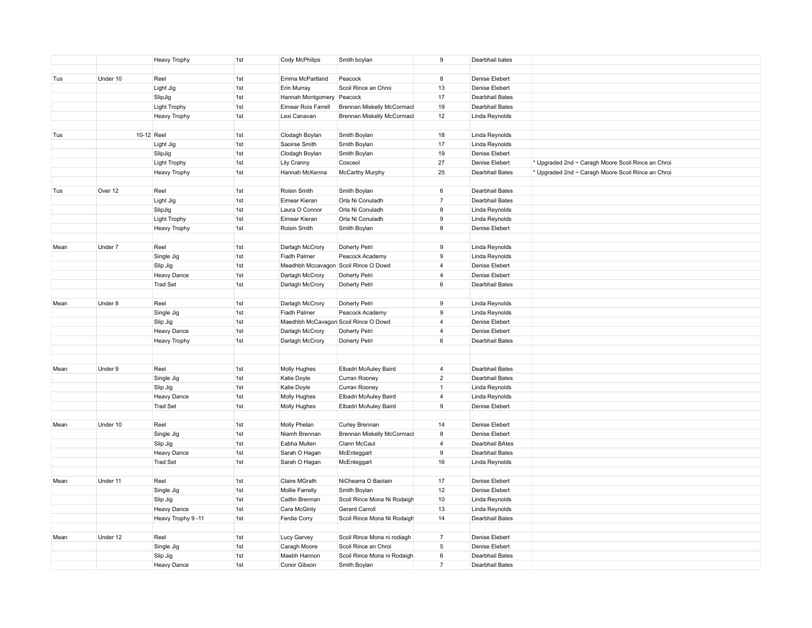|      |          | <b>Heavy Trophy</b>            | 1st        | Cody McPhilips                       | Smith boylan                                 | 9                | Dearbhail bates |                                                    |
|------|----------|--------------------------------|------------|--------------------------------------|----------------------------------------------|------------------|-----------------|----------------------------------------------------|
|      |          |                                |            |                                      |                                              |                  |                 |                                                    |
| Tus  | Under 10 | Reel                           | 1st        | Emma McPartland                      | Peacock                                      | 8                | Denise Elebert  |                                                    |
|      |          | Light Jig                      | 1st        | Erin Murray                          | Scoil Rince an Chroi                         | 13               | Denise Elebert  |                                                    |
|      |          | SlipJig                        | 1st        | Hannah Montgomery                    | Peacock                                      | 17               | Dearbhail Bates |                                                    |
|      |          | <b>Light Trophy</b>            | 1st        | Eimear Rois Farrell                  | Brennan Miskelly McCormacl                   | 19               | Dearbhail Bates |                                                    |
|      |          | <b>Heavy Trophy</b>            | 1st        | Lexi Canavan                         | Brennan Miskelly McCormacl                   | 12               | Linda Reynolds  |                                                    |
|      |          |                                |            |                                      |                                              |                  |                 |                                                    |
| Tus  |          | 10-12 Reel                     | 1st        | Clodagh Boylan                       | Smith Boylan                                 | 18               | Linda Reynolds  |                                                    |
|      |          | Light Jig                      | 1st        | Saoirse Smith                        | Smith Boylan                                 | 17               | Linda Reynolds  |                                                    |
|      |          | SlipJig                        | 1st        | Clodagh Boylan                       | Smith Boylan                                 | 19               | Denise Elebert  |                                                    |
|      |          | <b>Light Trophy</b>            | 1st        | Lily Cranny                          | Cosceol                                      | 27               | Denise Elebert  | * Upgraded 2nd ~ Caragh Moore Scoil Rince an Chroi |
|      |          | <b>Heavy Trophy</b>            | 1st        | Hannah McKenna                       | McCarthy Murphy                              | 25               | Dearbhail Bates | * Upgraded 2nd ~ Caragh Moore Scoil Rince an Chroi |
|      |          |                                |            |                                      |                                              |                  |                 |                                                    |
| Tus  | Over 12  | Reel                           | 1st        | Roisin Smith                         | Smith Boylan                                 | $\,6\,$          | Dearbhail Bates |                                                    |
|      |          | Light Jig                      | 1st        | Eimear Kieran                        | Orla Ni Conuladh                             | $\overline{7}$   | Dearbhail Bates |                                                    |
|      |          | SlipJig                        | 1st        | Laura O Connor                       | Orla Ni Conuladh                             | 8                | Linda Reynolds  |                                                    |
|      |          | <b>Light Trophy</b>            | 1st        | Eimear Kieran                        | Orla Ni Conuladh                             | 9                | Linda Reynolds  |                                                    |
|      |          | <b>Heavy Trophy</b>            | 1st        | Roisin Smith                         | Smith Boylan                                 | 8                | Denise Elebert  |                                                    |
|      |          |                                |            |                                      |                                              |                  |                 |                                                    |
| Mean | Under 7  | Reel                           | 1st        | Darlagh McCrory                      | Doherty Petri                                | $\boldsymbol{9}$ | Linda Reynolds  |                                                    |
|      |          | Single Jig                     | 1st        | Fiadh Palmer                         | Peacock Academy                              | 9                | Linda Reynolds  |                                                    |
|      |          | Slip Jig                       | 1st        | Meadhbh Mccavagon Scoil Rince O Dowd |                                              | $\overline{4}$   | Denise Elebert  |                                                    |
|      |          | Heavy Dance                    | 1st        | Darlagh McCrory                      | Doherty Petri                                | $\overline{4}$   | Denise Elebert  |                                                    |
|      |          | <b>Trad Set</b>                | 1st        | Darlagh McCrory                      | Doherty Petri                                | $\,6\,$          | Dearbhail Bates |                                                    |
|      |          |                                |            |                                      |                                              |                  |                 |                                                    |
| Mean | Under 8  | Reel                           | 1st        | Darlagh McCrory                      | Doherty Petri                                | 9                | Linda Reynolds  |                                                    |
|      |          | Single Jig                     | 1st        | Fiadh Palmer                         | Peacock Academy                              | 9                | Linda Reynolds  |                                                    |
|      |          | Slip Jig                       | 1st        | Maedhbh McCavagon Scoil Rince O Dowd |                                              | $\overline{4}$   | Denise Elebert  |                                                    |
|      |          | <b>Heavy Dance</b>             | 1st        | Darlagh McCrory                      | Doherty Petri                                | $\overline{4}$   | Denise Elebert  |                                                    |
|      |          | <b>Heavy Trophy</b>            | 1st        | Darlagh McCrory                      | Doherty Petri                                | $\,6\,$          | Dearbhail Bates |                                                    |
|      |          |                                |            |                                      |                                              |                  |                 |                                                    |
|      |          |                                |            |                                      |                                              |                  |                 |                                                    |
| Mean | Under 9  | Reel                           | 1st        | Molly Hughes                         | Elbadri McAuley Baird                        | $\overline{4}$   | Dearbhail Bates |                                                    |
|      |          | Single Jig                     | 1st        | Katie Doyle                          | Curran Rooney                                | $\overline{2}$   | Dearbhail Bates |                                                    |
|      |          | Slip Jig                       | 1st        | Katie Doyle                          | Curran Rooney                                | $\mathbf{1}$     | Linda Reynolds  |                                                    |
|      |          | Heavy Dance                    | 1st        | Molly Hughes                         | Elbadri McAuley Baird                        | $\overline{4}$   | Linda Reynolds  |                                                    |
|      |          | <b>Trad Set</b>                | 1st        | Molly Hughes                         | Elbadri McAuley Baird                        | $\boldsymbol{9}$ | Denise Elebert  |                                                    |
| Mean | Under 10 |                                |            |                                      |                                              | 14               | Denise Elebert  |                                                    |
|      |          | Reel<br>Single Jig             | 1st<br>1st | Molly Phelan<br>Niamh Brennan        | Curley Brennan<br>Brennan Miskelly McCormacl | 8                | Denise Elebert  |                                                    |
|      |          |                                | 1st        | Eabha Mullen                         | Clann McCaul                                 | $\overline{4}$   | Dearbhail BAtes |                                                    |
|      |          | Slip Jig<br><b>Heavy Dance</b> | 1st        | Sarah O Hagan                        | McEnteggart                                  | 9                | Dearbhail Bates |                                                    |
|      |          | <b>Trad Set</b>                | 1st        | Sarah O Hagan                        | McEnteggart                                  | 16               | Linda Reynolds  |                                                    |
|      |          |                                |            |                                      |                                              |                  |                 |                                                    |
| Mean | Under 11 | Reel                           | 1st        | Claire MGrath                        | NiChearra O Baolain                          | 17               | Denise Elebert  |                                                    |
|      |          | Single Jig                     | 1st        | <b>Mollie Farrelly</b>               | Smith Boylan                                 | 12               | Denise Elebert  |                                                    |
|      |          | Slip Jig                       | 1st        | Caitlin Brennan                      | Scoil Rince Mona Ni Rodaigh                  | 10               | Linda Reynolds  |                                                    |
|      |          | Heavy Dance                    | 1st        | Cara McGinty                         | Gerard Carroll                               | 13               | Linda Reynolds  |                                                    |
|      |          | Heavy Trophy 9-11              | 1st        | Ferdia Corry                         | Scoil Rince Mona Ni Rodaigh                  | 14               | Dearbhail Bates |                                                    |
|      |          |                                |            |                                      |                                              |                  |                 |                                                    |
| Mean | Under 12 | Reel                           | 1st        | Lucy Garvey                          | Scoil Rince Mona ni rodiagh                  | $\overline{7}$   | Denise Elebert  |                                                    |
|      |          | Single Jig                     | 1st        | Caragh Moore                         | Scoil Rince an Chroi                         | $\sqrt{5}$       | Denise Elebert  |                                                    |
|      |          | Slip Jig                       | 1st        | Maebh Hannon                         | Scoil Rince Mona ni Rodaigh                  | $\,6\,$          | Dearbhail Bates |                                                    |
|      |          | <b>Heavy Dance</b>             | 1st        | Conor Gibson                         | Smith Boylan                                 | $\overline{7}$   | Dearbhail Bates |                                                    |
|      |          |                                |            |                                      |                                              |                  |                 |                                                    |